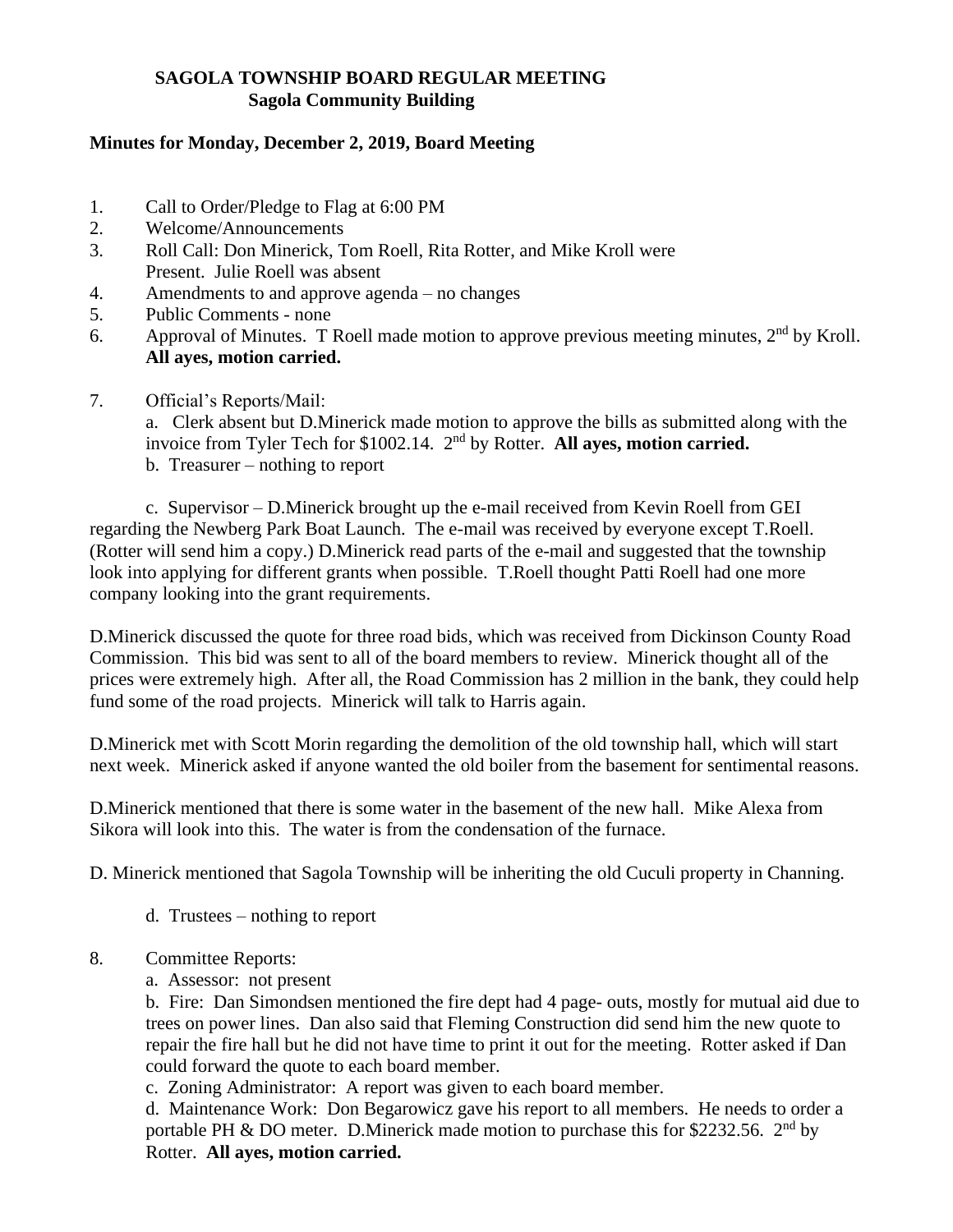## **SAGOLA TOWNSHIP BOARD REGULAR MEETING Sagola Community Building**

## **Minutes for Monday, December 2, 2019, Board Meeting**

- 1. Call to Order/Pledge to Flag at 6:00 PM
- 2. Welcome/Announcements
- 3. Roll Call: Don Minerick, Tom Roell, Rita Rotter, and Mike Kroll were Present. Julie Roell was absent
- 4. Amendments to and approve agenda no changes
- 5. Public Comments none
- 6. Approval of Minutes. T Roell made motion to approve previous meeting minutes,  $2<sup>nd</sup>$  by Kroll. **All ayes, motion carried.**
- 7. Official's Reports/Mail:

a. Clerk absent but D.Minerick made motion to approve the bills as submitted along with the invoice from Tyler Tech for \$1002.14. 2<sup>nd</sup> by Rotter. All ayes, motion carried.

b. Treasurer – nothing to report

c. Supervisor – D.Minerick brought up the e-mail received from Kevin Roell from GEI regarding the Newberg Park Boat Launch. The e-mail was received by everyone except T.Roell. (Rotter will send him a copy.) D.Minerick read parts of the e-mail and suggested that the township look into applying for different grants when possible. T.Roell thought Patti Roell had one more company looking into the grant requirements.

D.Minerick discussed the quote for three road bids, which was received from Dickinson County Road Commission. This bid was sent to all of the board members to review. Minerick thought all of the prices were extremely high. After all, the Road Commission has 2 million in the bank, they could help fund some of the road projects. Minerick will talk to Harris again.

D.Minerick met with Scott Morin regarding the demolition of the old township hall, which will start next week. Minerick asked if anyone wanted the old boiler from the basement for sentimental reasons.

D.Minerick mentioned that there is some water in the basement of the new hall. Mike Alexa from Sikora will look into this. The water is from the condensation of the furnace.

D. Minerick mentioned that Sagola Township will be inheriting the old Cuculi property in Channing.

- d. Trustees nothing to report
- 8. Committee Reports:
	- a. Assessor: not present

b. Fire: Dan Simondsen mentioned the fire dept had 4 page- outs, mostly for mutual aid due to trees on power lines. Dan also said that Fleming Construction did send him the new quote to repair the fire hall but he did not have time to print it out for the meeting. Rotter asked if Dan could forward the quote to each board member.

c. Zoning Administrator: A report was given to each board member.

d. Maintenance Work: Don Begarowicz gave his report to all members. He needs to order a portable PH & DO meter. D.Minerick made motion to purchase this for \$2232.56. 2<sup>nd</sup> by Rotter. **All ayes, motion carried.**